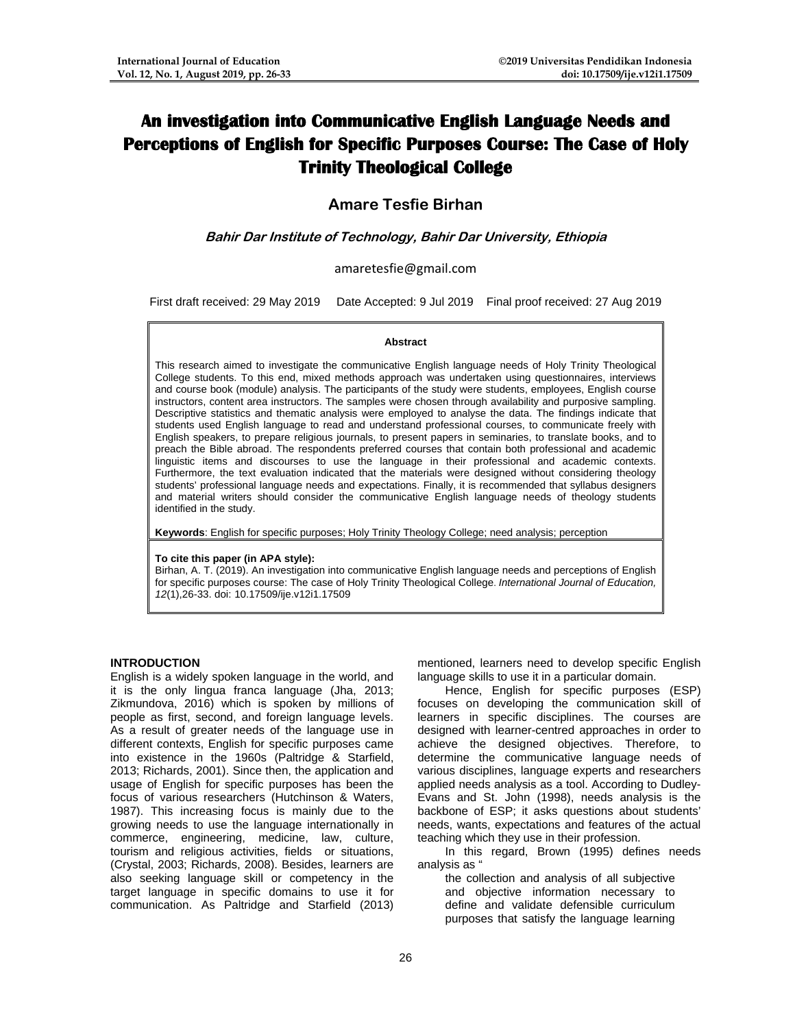# **An investigation into Communicative English Language Needs and Perceptions of English for Specific Purposes Course: The Case of Holy Trinity Theological College**

## **Amare Tesfie Birhan**

#### **Bahir Dar Institute of Technology, Bahir Dar University, Ethiopia**

#### amaretesfie@gmail.com

First draft received: 29 May 2019 Date Accepted: 9 Jul 2019 Final proof received: 27 Aug 2019

#### **Abstract**

This research aimed to investigate the communicative English language needs of Holy Trinity Theological College students. To this end, mixed methods approach was undertaken using questionnaires, interviews and course book (module) analysis. The participants of the study were students, employees, English course instructors, content area instructors. The samples were chosen through availability and purposive sampling. Descriptive statistics and thematic analysis were employed to analyse the data. The findings indicate that students used English language to read and understand professional courses, to communicate freely with English speakers, to prepare religious journals, to present papers in seminaries, to translate books, and to preach the Bible abroad. The respondents preferred courses that contain both professional and academic linguistic items and discourses to use the language in their professional and academic contexts. Furthermore, the text evaluation indicated that the materials were designed without considering theology students' professional language needs and expectations. Finally, it is recommended that syllabus designers and material writers should consider the communicative English language needs of theology students identified in the study.

**Keywords**: English for specific purposes; Holy Trinity Theology College; need analysis; perception

#### **To cite this paper (in APA style):**

Birhan, A. T. (2019). An investigation into communicative English language needs and perceptions of English for specific purposes course: The case of Holy Trinity Theological College. *International Journal of Education, 12*(1),26-33. doi: 10.17509/ije.v12i1.17509

#### **INTRODUCTION**

English is a widely spoken language in the world, and it is the only lingua franca language (Jha, 2013; Zikmundova, 2016) which is spoken by millions of people as first, second, and foreign language levels. As a result of greater needs of the language use in different contexts, English for specific purposes came into existence in the 1960s (Paltridge & Starfield, 2013; Richards, 2001). Since then, the application and usage of English for specific purposes has been the focus of various researchers (Hutchinson & Waters, 1987). This increasing focus is mainly due to the growing needs to use the language internationally in commerce, engineering, medicine, law, culture, tourism and religious activities, fields or situations, (Crystal, 2003; Richards, 2008). Besides, learners are also seeking language skill or competency in the target language in specific domains to use it for communication. As Paltridge and Starfield (2013) mentioned, learners need to develop specific English language skills to use it in a particular domain.

Hence, English for specific purposes (ESP) focuses on developing the communication skill of learners in specific disciplines. The courses are designed with learner-centred approaches in order to achieve the designed objectives. Therefore, to determine the communicative language needs of various disciplines, language experts and researchers applied needs analysis as a tool. According to Dudley-Evans and St. John (1998), needs analysis is the backbone of ESP; it asks questions about students' needs, wants, expectations and features of the actual teaching which they use in their profession.

In this regard, Brown (1995) defines needs analysis as "

the collection and analysis of all subjective and objective information necessary to define and validate defensible curriculum purposes that satisfy the language learning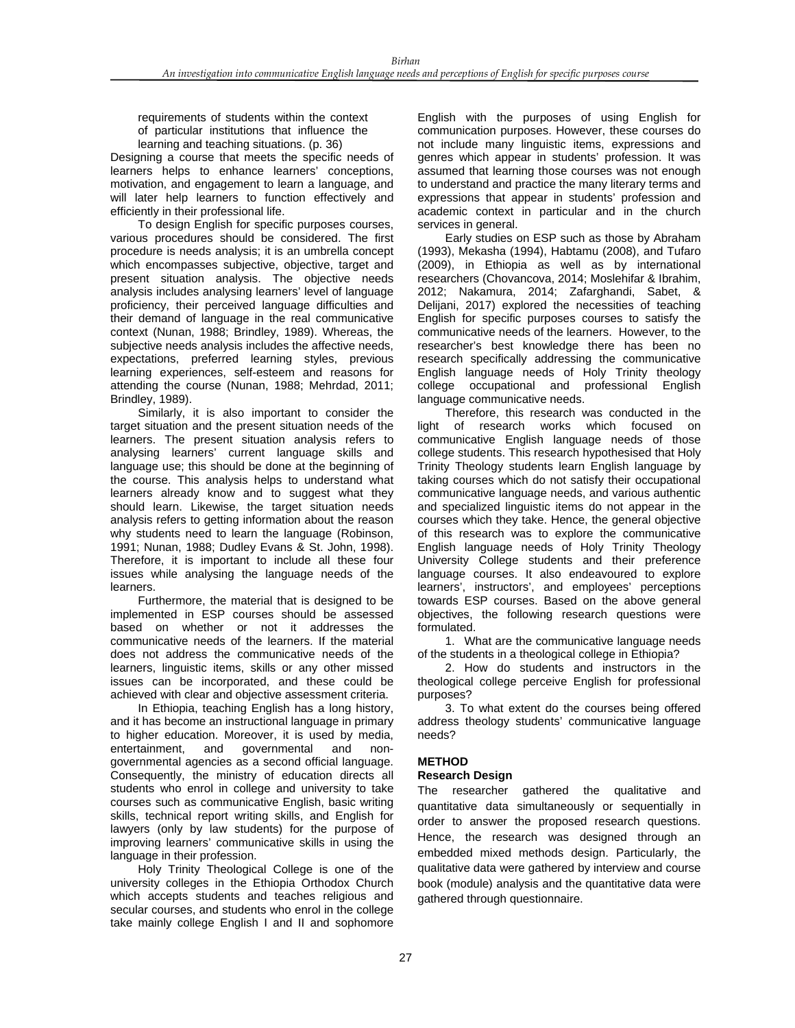requirements of students within the context of particular institutions that influence the learning and teaching situations. (p. 36)

Designing a course that meets the specific needs of learners helps to enhance learners' conceptions, motivation, and engagement to learn a language, and will later help learners to function effectively and efficiently in their professional life.

To design English for specific purposes courses, various procedures should be considered. The first procedure is needs analysis; it is an umbrella concept which encompasses subjective, objective, target and present situation analysis. The objective needs analysis includes analysing learners' level of language proficiency, their perceived language difficulties and their demand of language in the real communicative context (Nunan, 1988; Brindley, 1989). Whereas, the subjective needs analysis includes the affective needs, expectations, preferred learning styles, previous learning experiences, self-esteem and reasons for attending the course (Nunan, 1988; Mehrdad, 2011; Brindley, 1989).

Similarly, it is also important to consider the target situation and the present situation needs of the learners. The present situation analysis refers to analysing learners' current language skills and language use; this should be done at the beginning of the course. This analysis helps to understand what learners already know and to suggest what they should learn. Likewise, the target situation needs analysis refers to getting information about the reason why students need to learn the language (Robinson, 1991; Nunan, 1988; Dudley Evans & St. John, 1998). Therefore, it is important to include all these four issues while analysing the language needs of the learners.

Furthermore, the material that is designed to be implemented in ESP courses should be assessed based on whether or not it addresses the communicative needs of the learners. If the material does not address the communicative needs of the learners, linguistic items, skills or any other missed issues can be incorporated, and these could be achieved with clear and objective assessment criteria.

In Ethiopia, teaching English has a long history, and it has become an instructional language in primary to higher education. Moreover, it is used by media,<br>entertainment, and governmental and nonand governmental and nongovernmental agencies as a second official language. Consequently, the ministry of education directs all students who enrol in college and university to take courses such as communicative English, basic writing skills, technical report writing skills, and English for lawyers (only by law students) for the purpose of improving learners' communicative skills in using the language in their profession.

Holy Trinity Theological College is one of the university colleges in the Ethiopia Orthodox Church which accepts students and teaches religious and secular courses, and students who enrol in the college take mainly college English I and II and sophomore

English with the purposes of using English for communication purposes. However, these courses do not include many linguistic items, expressions and genres which appear in students' profession. It was assumed that learning those courses was not enough to understand and practice the many literary terms and expressions that appear in students' profession and academic context in particular and in the church services in general.

Early studies on ESP such as those by Abraham (1993), Mekasha (1994), Habtamu (2008), and Tufaro (2009), in Ethiopia as well as by international researchers (Chovancova, 2014; Moslehifar & Ibrahim, 2012; Nakamura, 2014; Zafarghandi, Sabet, & Delijani, 2017) explored the necessities of teaching English for specific purposes courses to satisfy the communicative needs of the learners. However, to the researcher's best knowledge there has been no research specifically addressing the communicative English language needs of Holy Trinity theology college occupational and professional English language communicative needs.

Therefore, this research was conducted in the light of research works which focused on communicative English language needs of those college students. This research hypothesised that Holy Trinity Theology students learn English language by taking courses which do not satisfy their occupational communicative language needs, and various authentic and specialized linguistic items do not appear in the courses which they take. Hence, the general objective of this research was to explore the communicative English language needs of Holy Trinity Theology University College students and their preference language courses. It also endeavoured to explore learners', instructors', and employees' perceptions towards ESP courses. Based on the above general objectives, the following research questions were formulated.

1. What are the communicative language needs of the students in a theological college in Ethiopia?

2. How do students and instructors in the theological college perceive English for professional purposes?

3. To what extent do the courses being offered address theology students' communicative language needs?

## **METHOD**

## **Research Design**

The researcher gathered the qualitative and quantitative data simultaneously or sequentially in order to answer the proposed research questions. Hence, the research was designed through an embedded mixed methods design. Particularly, the qualitative data were gathered by interview and course book (module) analysis and the quantitative data were gathered through questionnaire.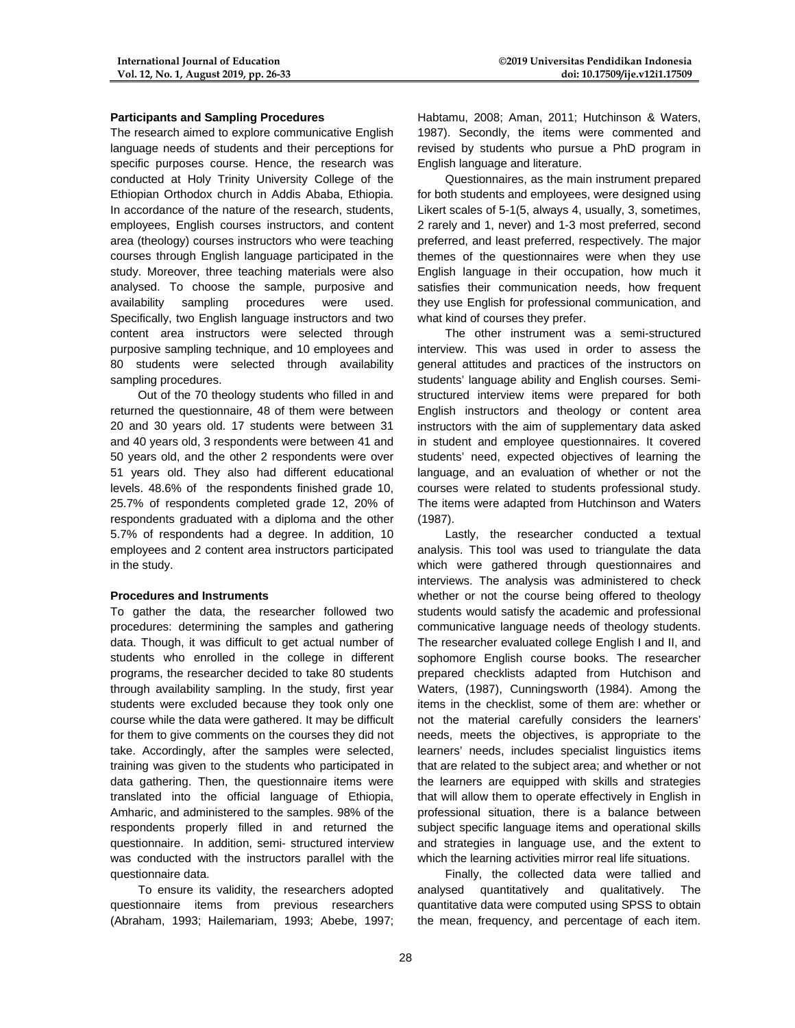#### **Participants and Sampling Procedures**

The research aimed to explore communicative English language needs of students and their perceptions for specific purposes course. Hence, the research was conducted at Holy Trinity University College of the Ethiopian Orthodox church in Addis Ababa, Ethiopia. In accordance of the nature of the research, students, employees, English courses instructors, and content area (theology) courses instructors who were teaching courses through English language participated in the study. Moreover, three teaching materials were also analysed. To choose the sample, purposive and<br>availability sampling procedures were used. availability sampling procedures were Specifically, two English language instructors and two content area instructors were selected through purposive sampling technique, and 10 employees and 80 students were selected through availability sampling procedures.

Out of the 70 theology students who filled in and returned the questionnaire, 48 of them were between 20 and 30 years old. 17 students were between 31 and 40 years old, 3 respondents were between 41 and 50 years old, and the other 2 respondents were over 51 years old. They also had different educational levels. 48.6% of the respondents finished grade 10, 25.7% of respondents completed grade 12, 20% of respondents graduated with a diploma and the other 5.7% of respondents had a degree. In addition, 10 employees and 2 content area instructors participated in the study.

#### **Procedures and Instruments**

To gather the data, the researcher followed two procedures: determining the samples and gathering data. Though, it was difficult to get actual number of students who enrolled in the college in different programs, the researcher decided to take 80 students through availability sampling. In the study, first year students were excluded because they took only one course while the data were gathered. It may be difficult for them to give comments on the courses they did not take. Accordingly, after the samples were selected, training was given to the students who participated in data gathering. Then, the questionnaire items were translated into the official language of Ethiopia, Amharic, and administered to the samples. 98% of the respondents properly filled in and returned the questionnaire. In addition, semi- structured interview was conducted with the instructors parallel with the questionnaire data.

To ensure its validity, the researchers adopted questionnaire items from previous researchers (Abraham, 1993; Hailemariam, 1993; Abebe, 1997;

Habtamu, 2008; Aman, 2011; Hutchinson & Waters, 1987). Secondly, the items were commented and revised by students who pursue a PhD program in English language and literature.

Questionnaires, as the main instrument prepared for both students and employees, were designed using Likert scales of 5-1(5, always 4, usually, 3, sometimes, 2 rarely and 1, never) and 1-3 most preferred, second preferred, and least preferred, respectively. The major themes of the questionnaires were when they use English language in their occupation, how much it satisfies their communication needs, how frequent they use English for professional communication, and what kind of courses they prefer.

The other instrument was a semi-structured interview. This was used in order to assess the general attitudes and practices of the instructors on students' language ability and English courses. Semistructured interview items were prepared for both English instructors and theology or content area instructors with the aim of supplementary data asked in student and employee questionnaires. It covered students' need, expected objectives of learning the language, and an evaluation of whether or not the courses were related to students professional study. The items were adapted from Hutchinson and Waters (1987).

Lastly, the researcher conducted a textual analysis. This tool was used to triangulate the data which were gathered through questionnaires and interviews. The analysis was administered to check whether or not the course being offered to theology students would satisfy the academic and professional communicative language needs of theology students. The researcher evaluated college English I and II, and sophomore English course books. The researcher prepared checklists adapted from Hutchison and Waters, (1987), Cunningsworth (1984). Among the items in the checklist, some of them are: whether or not the material carefully considers the learners' needs, meets the objectives, is appropriate to the learners' needs, includes specialist linguistics items that are related to the subject area; and whether or not the learners are equipped with skills and strategies that will allow them to operate effectively in English in professional situation, there is a balance between subject specific language items and operational skills and strategies in language use, and the extent to which the learning activities mirror real life situations.

Finally, the collected data were tallied and analysed quantitatively and qualitatively. The quantitative data were computed using SPSS to obtain the mean, frequency, and percentage of each item.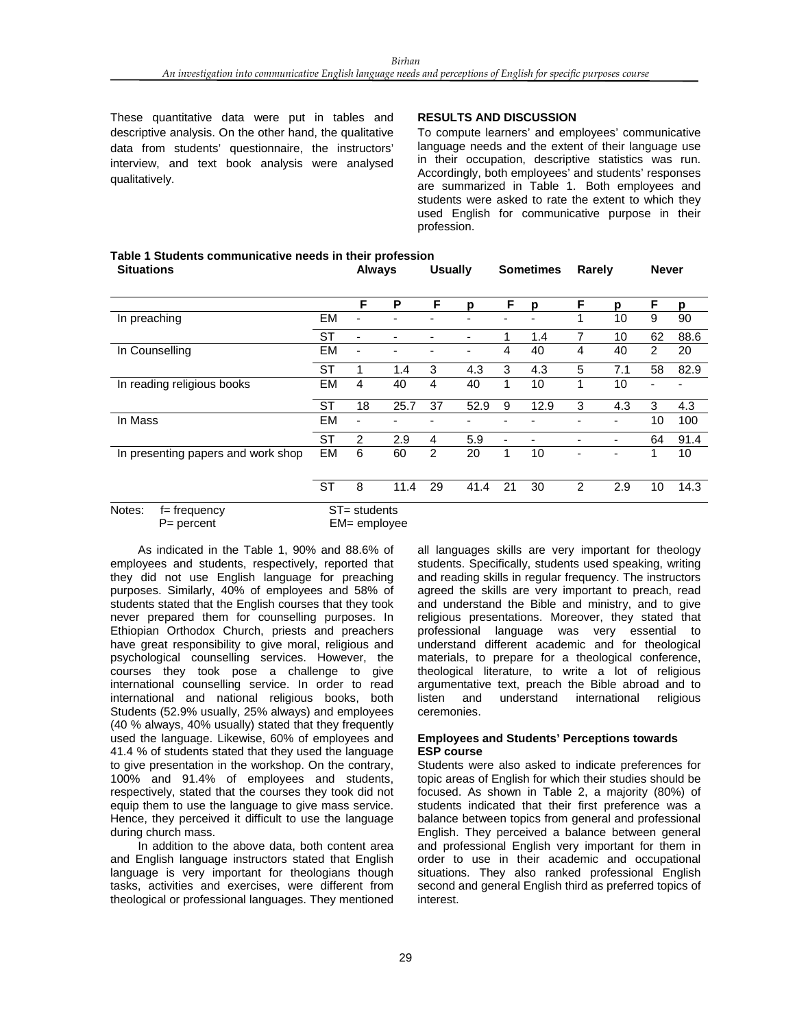These quantitative data were put in tables and descriptive analysis. On the other hand, the qualitative data from students' questionnaire, the instructors' interview, and text book analysis were analysed qualitatively.

**Table 1 Students communicative needs in their profession**

#### **RESULTS AND DISCUSSION**

To compute learners' and employees' communicative language needs and the extent of their language use in their occupation, descriptive statistics was run. Accordingly, both employees' and students' responses are summarized in Table 1. Both employees and students were asked to rate the extent to which they used English for communicative purpose in their profession.

| <b>Situations</b>                  |                               |           | <b>Always</b>                      |      | <b>Usually</b> |      | <b>Sometimes</b> |      | Rarely         |     | Never          |          |
|------------------------------------|-------------------------------|-----------|------------------------------------|------|----------------|------|------------------|------|----------------|-----|----------------|----------|
|                                    |                               |           | F                                  | P    | F              | D    | F                | p    | F              | D   | F              | <b>D</b> |
| In preaching                       |                               | EM        |                                    |      |                |      |                  |      |                | 10  | 9              | 90       |
|                                    |                               | <b>ST</b> | $\overline{\phantom{0}}$           | -    |                | -    |                  | 1.4  | 7              | 10  | 62             | 88.6     |
|                                    | In Counselling                | EM        |                                    |      |                |      | 4                | 40   | 4              | 40  | $\overline{2}$ | 20       |
|                                    |                               | <b>ST</b> |                                    | 1.4  | 3              | 4.3  | 3                | 4.3  | 5              | 7.1 | 58             | 82.9     |
| In reading religious books         |                               | EM        | 4                                  | 40   | 4              | 40   |                  | 10   |                | 10  |                |          |
|                                    |                               | <b>ST</b> | 18                                 | 25.7 | 37             | 52.9 | 9                | 12.9 | 3              | 4.3 | 3              | 4.3      |
| In Mass                            |                               | EM        |                                    |      |                |      |                  |      |                |     | 10             | 100      |
|                                    |                               | <b>ST</b> | $\overline{2}$                     | 2.9  | 4              | 5.9  |                  |      |                |     | 64             | 91.4     |
| In presenting papers and work shop |                               | EM        | 6                                  | 60   | 2              | 20   |                  | 10   |                |     |                | 10       |
|                                    |                               | <b>ST</b> | 8                                  | 11.4 | 29             | 41.4 | 21               | 30   | $\overline{2}$ | 2.9 | 10             | 14.3     |
| Notes:                             | f= frequency<br>$P =$ percent |           | $ST = students$<br>$EM =$ employee |      |                |      |                  |      |                |     |                |          |

As indicated in the Table 1, 90% and 88.6% of employees and students, respectively, reported that they did not use English language for preaching purposes. Similarly, 40% of employees and 58% of students stated that the English courses that they took never prepared them for counselling purposes. In Ethiopian Orthodox Church, priests and preachers have great responsibility to give moral, religious and psychological counselling services. However, the courses they took pose a challenge to give international counselling service. In order to read international and national religious books, both Students (52.9% usually, 25% always) and employees (40 % always, 40% usually) stated that they frequently used the language. Likewise, 60% of employees and 41.4 % of students stated that they used the language to give presentation in the workshop. On the contrary, 100% and 91.4% of employees and students, respectively, stated that the courses they took did not equip them to use the language to give mass service. Hence, they perceived it difficult to use the language during church mass.

In addition to the above data, both content area and English language instructors stated that English language is very important for theologians though tasks, activities and exercises, were different from theological or professional languages. They mentioned

all languages skills are very important for theology students. Specifically, students used speaking, writing and reading skills in regular frequency. The instructors agreed the skills are very important to preach, read and understand the Bible and ministry, and to give religious presentations. Moreover, they stated that professional language was very essential to understand different academic and for theological materials, to prepare for a theological conference, theological literature, to write a lot of religious argumentative text, preach the Bible abroad and to listen and understand international religious ceremonies.

#### **Employees and Students' Perceptions towards ESP course**

Students were also asked to indicate preferences for topic areas of English for which their studies should be focused. As shown in Table 2, a majority (80%) of students indicated that their first preference was a balance between topics from general and professional English. They perceived a balance between general and professional English very important for them in order to use in their academic and occupational situations. They also ranked professional English second and general English third as preferred topics of interest.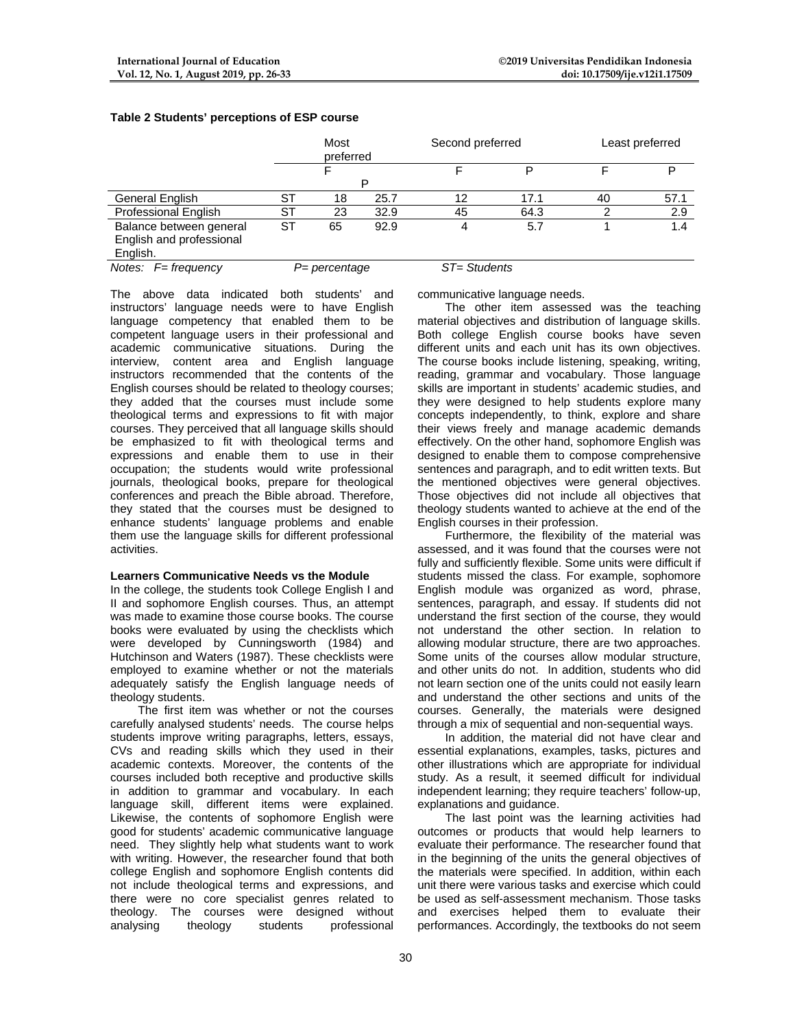|                                                                 |    | Most<br>preferred |              | Second preferred |      | Least preferred |      |  |
|-----------------------------------------------------------------|----|-------------------|--------------|------------------|------|-----------------|------|--|
|                                                                 |    |                   |              |                  | D    |                 | P    |  |
|                                                                 |    |                   | P            |                  |      |                 |      |  |
| <b>General English</b>                                          | SТ | 18                | 25.7         | 12               | 17.1 | 40              | 57.1 |  |
| <b>Professional English</b>                                     | ST | 23                | 32.9         | 45               | 64.3 |                 | 2.9  |  |
| Balance between general<br>English and professional<br>English. | SТ | 65                | 92.9         |                  | 5.7  |                 | 1.4  |  |
| Notes: $F=$ frequency<br>$P = percentage$                       |    |                   | ST= Students |                  |      |                 |      |  |

#### **Table 2 Students' perceptions of ESP course**

The above data indicated both students' and instructors' language needs were to have English language competency that enabled them to be competent language users in their professional and academic communicative situations. During the interview, content area and English language instructors recommended that the contents of the English courses should be related to theology courses; they added that the courses must include some theological terms and expressions to fit with major courses. They perceived that all language skills should be emphasized to fit with theological terms and expressions and enable them to use in their occupation; the students would write professional journals, theological books, prepare for theological conferences and preach the Bible abroad. Therefore, they stated that the courses must be designed to enhance students' language problems and enable them use the language skills for different professional activities.

#### **Learners Communicative Needs vs the Module**

In the college, the students took College English I and II and sophomore English courses. Thus, an attempt was made to examine those course books. The course books were evaluated by using the checklists which were developed by Cunningsworth (1984) and Hutchinson and Waters (1987). These checklists were employed to examine whether or not the materials adequately satisfy the English language needs of theology students.

The first item was whether or not the courses carefully analysed students' needs. The course helps students improve writing paragraphs, letters, essays, CVs and reading skills which they used in their academic contexts. Moreover, the contents of the courses included both receptive and productive skills in addition to grammar and vocabulary. In each language skill, different items were explained. Likewise, the contents of sophomore English were good for students' academic communicative language need. They slightly help what students want to work with writing. However, the researcher found that both college English and sophomore English contents did not include theological terms and expressions, and there were no core specialist genres related to theology. The courses were designed without analysing theology students professional

communicative language needs.

The other item assessed was the teaching material objectives and distribution of language skills. Both college English course books have seven different units and each unit has its own objectives. The course books include listening, speaking, writing, reading, grammar and vocabulary. Those language skills are important in students' academic studies, and they were designed to help students explore many concepts independently, to think, explore and share their views freely and manage academic demands effectively. On the other hand, sophomore English was designed to enable them to compose comprehensive sentences and paragraph, and to edit written texts. But the mentioned objectives were general objectives. Those objectives did not include all objectives that theology students wanted to achieve at the end of the English courses in their profession.

Furthermore, the flexibility of the material was assessed, and it was found that the courses were not fully and sufficiently flexible. Some units were difficult if students missed the class. For example, sophomore English module was organized as word, phrase, sentences, paragraph, and essay. If students did not understand the first section of the course, they would not understand the other section. In relation to allowing modular structure, there are two approaches. Some units of the courses allow modular structure, and other units do not. In addition, students who did not learn section one of the units could not easily learn and understand the other sections and units of the courses. Generally, the materials were designed through a mix of sequential and non-sequential ways.

In addition, the material did not have clear and essential explanations, examples, tasks, pictures and other illustrations which are appropriate for individual study. As a result, it seemed difficult for individual independent learning; they require teachers' follow-up, explanations and guidance.

The last point was the learning activities had outcomes or products that would help learners to evaluate their performance. The researcher found that in the beginning of the units the general objectives of the materials were specified. In addition, within each unit there were various tasks and exercise which could be used as self-assessment mechanism. Those tasks and exercises helped them to evaluate their performances. Accordingly, the textbooks do not seem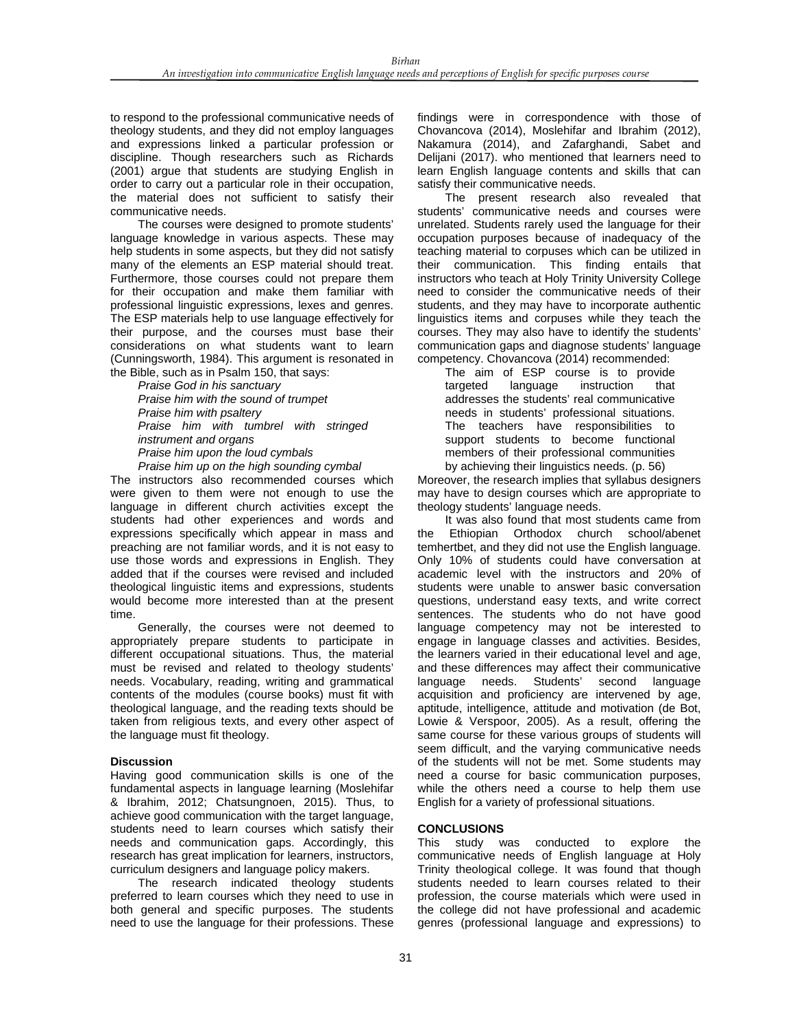to respond to the professional communicative needs of theology students, and they did not employ languages and expressions linked a particular profession or discipline. Though researchers such as Richards (2001) argue that students are studying English in order to carry out a particular role in their occupation, the material does not sufficient to satisfy their communicative needs.

The courses were designed to promote students' language knowledge in various aspects. These may help students in some aspects, but they did not satisfy many of the elements an ESP material should treat. Furthermore, those courses could not prepare them for their occupation and make them familiar with professional linguistic expressions, lexes and genres. The ESP materials help to use language effectively for their purpose, and the courses must base their considerations on what students want to learn (Cunningsworth, 1984). This argument is resonated in the Bible, such as in Psalm 150, that says:

*Praise God in his sanctuary Praise him with the sound of trumpet Praise him with psaltery Praise him with tumbrel with stringed instrument and organs Praise him upon the loud cymbals Praise him up on the high sounding cymbal*

The instructors also recommended courses which were given to them were not enough to use the language in different church activities except the students had other experiences and words and expressions specifically which appear in mass and preaching are not familiar words, and it is not easy to use those words and expressions in English. They added that if the courses were revised and included theological linguistic items and expressions, students would become more interested than at the present time.

Generally, the courses were not deemed to appropriately prepare students to participate in different occupational situations. Thus, the material must be revised and related to theology students' needs. Vocabulary, reading, writing and grammatical contents of the modules (course books) must fit with theological language, and the reading texts should be taken from religious texts, and every other aspect of the language must fit theology.

#### **Discussion**

Having good communication skills is one of the fundamental aspects in language learning (Moslehifar & Ibrahim, 2012; Chatsungnoen, 2015). Thus, to achieve good communication with the target language, students need to learn courses which satisfy their needs and communication gaps. Accordingly, this research has great implication for learners, instructors, curriculum designers and language policy makers.

The research indicated theology students preferred to learn courses which they need to use in both general and specific purposes. The students need to use the language for their professions. These findings were in correspondence with those of Chovancova (2014), Moslehifar and Ibrahim (2012), Nakamura (2014), and Zafarghandi, Sabet and Delijani (2017). who mentioned that learners need to learn English language contents and skills that can satisfy their communicative needs.

The present research also revealed that students' communicative needs and courses were unrelated. Students rarely used the language for their occupation purposes because of inadequacy of the teaching material to corpuses which can be utilized in their communication. This finding entails that instructors who teach at Holy Trinity University College need to consider the communicative needs of their students, and they may have to incorporate authentic linguistics items and corpuses while they teach the courses. They may also have to identify the students' communication gaps and diagnose students' language competency. Chovancova (2014) recommended:

The aim of ESP course is to provide<br>targeted language instruction that language instruction that addresses the students' real communicative needs in students' professional situations. The teachers have responsibilities to support students to become functional members of their professional communities by achieving their linguistics needs. (p. 56)

Moreover, the research implies that syllabus designers may have to design courses which are appropriate to theology students' language needs.

It was also found that most students came from the Ethiopian Orthodox church school/abenet temhertbet, and they did not use the English language. Only 10% of students could have conversation at academic level with the instructors and 20% of students were unable to answer basic conversation questions, understand easy texts, and write correct sentences. The students who do not have good language competency may not be interested to engage in language classes and activities. Besides, the learners varied in their educational level and age, and these differences may affect their communicative<br>language needs. Students' second language language needs. acquisition and proficiency are intervened by age, aptitude, intelligence, attitude and motivation (de Bot, Lowie & Verspoor, 2005). As a result, offering the same course for these various groups of students will seem difficult, and the varying communicative needs of the students will not be met. Some students may need a course for basic communication purposes, while the others need a course to help them use English for a variety of professional situations.

## **CONCLUSIONS**

This study was conducted to explore the communicative needs of English language at Holy Trinity theological college. It was found that though students needed to learn courses related to their profession, the course materials which were used in the college did not have professional and academic genres (professional language and expressions) to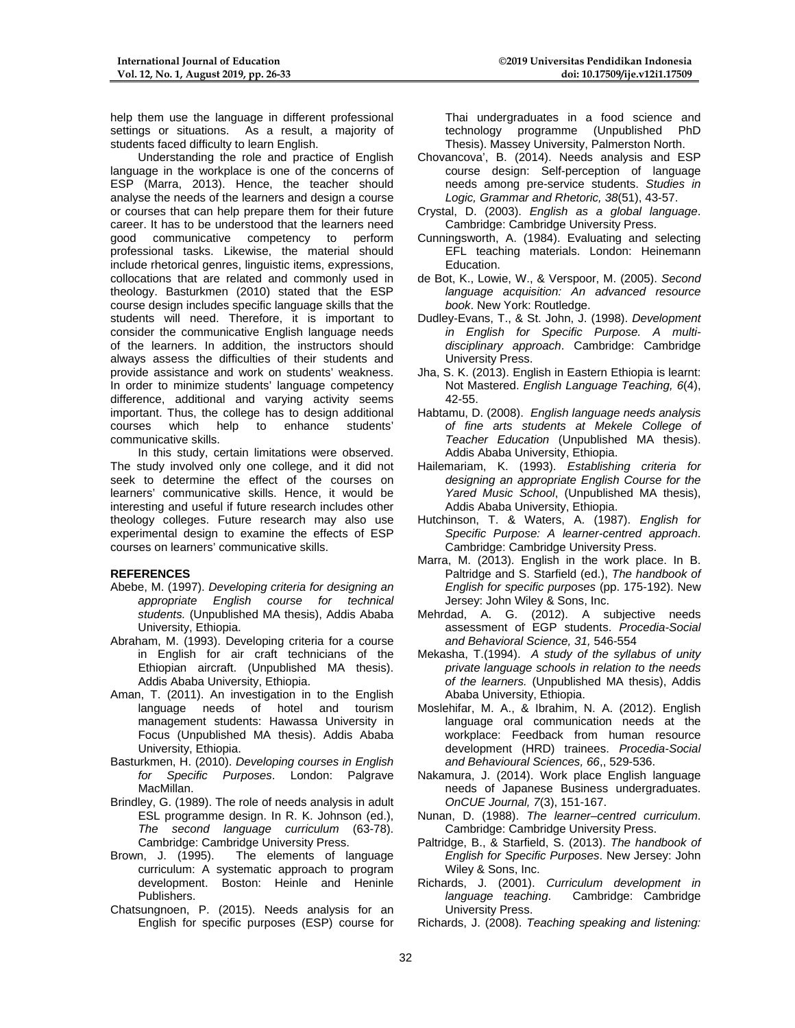help them use the language in different professional settings or situations. As a result, a majority of students faced difficulty to learn English.

Understanding the role and practice of English language in the workplace is one of the concerns of ESP (Marra, 2013). Hence, the teacher should analyse the needs of the learners and design a course or courses that can help prepare them for their future career. It has to be understood that the learners need good communicative competency to perform professional tasks. Likewise, the material should include rhetorical genres, linguistic items, expressions, collocations that are related and commonly used in theology. Basturkmen (2010) stated that the ESP course design includes specific language skills that the students will need. Therefore, it is important to consider the communicative English language needs of the learners. In addition, the instructors should always assess the difficulties of their students and provide assistance and work on students' weakness. In order to minimize students' language competency difference, additional and varying activity seems important. Thus, the college has to design additional to enhance students' communicative skills.

In this study, certain limitations were observed. The study involved only one college, and it did not seek to determine the effect of the courses on learners' communicative skills. Hence, it would be interesting and useful if future research includes other theology colleges. Future research may also use experimental design to examine the effects of ESP courses on learners' communicative skills.

#### **REFERENCES**

- Abebe, M. (1997). *Developing criteria for designing an appropriate English course for technical students.* (Unpublished MA thesis), Addis Ababa University, Ethiopia.
- Abraham, M. (1993). Developing criteria for a course in English for air craft technicians of the Ethiopian aircraft. (Unpublished MA thesis). Addis Ababa University, Ethiopia.
- Aman, T. (2011). An investigation in to the English language needs of hotel and tourism management students: Hawassa University in Focus (Unpublished MA thesis). Addis Ababa University, Ethiopia.
- Basturkmen, H. (2010). *Developing courses in English for Specific Purposes*. London: Palgrave MacMillan.
- Brindley, G. (1989). The role of needs analysis in adult ESL programme design. In R. K. Johnson (ed.), *The second language curriculum* (63-78). Cambridge: Cambridge University Press.<br>Brown, J. (1995). The elements of la
- The elements of language curriculum: A systematic approach to program development. Boston: Heinle and Heninle Publishers.
- Chatsungnoen, P. (2015). Needs analysis for an English for specific purposes (ESP) course for

Thai undergraduates in a food science and technology programme (Unpublished PhD Thesis). Massey University, Palmerston North.

- Chovancova', B. (2014). Needs analysis and ESP course design: Self-perception of language needs among pre-service students. *Studies in Logic, Grammar and Rhetoric, 38*(51), 43-57.
- Crystal, D. (2003). *English as a global language*. Cambridge: Cambridge University Press.
- Cunningsworth, A. (1984). Evaluating and selecting EFL teaching materials. London: Heinemann Education.
- de Bot, K., Lowie, W., & Verspoor, M. (2005). *Second language acquisition: An advanced resource book*. New York: Routledge.
- Dudley-Evans, T., & St. John, J. (1998). *Development in English for Specific Purpose. A multidisciplinary approach*. Cambridge: Cambridge University Press.
- Jha, S. K. (2013). English in Eastern Ethiopia is learnt: Not Mastered. *English Language Teaching, 6*(4), 42-55.
- Habtamu, D. (2008). *English language needs analysis of fine arts students at Mekele College of Teacher Education* (Unpublished MA thesis). Addis Ababa University, Ethiopia.
- Hailemariam, K. (1993). *Establishing criteria for designing an appropriate English Course for the Yared Music School*, (Unpublished MA thesis), Addis Ababa University, Ethiopia.
- Hutchinson, T. & Waters, A. (1987). *English for Specific Purpose: A learner-centred approach*. Cambridge: Cambridge University Press.
- Marra, M. (2013). English in the work place. In B. Paltridge and S. Starfield (ed.), *The handbook of English for specific purposes* (pp. 175-192). New Jersey: John Wiley & Sons, Inc.
- Mehrdad, A. G. (2012). A subjective needs assessment of EGP students. *Procedia-Social and Behavioral Science, 31,* 546-554
- Mekasha, T.(1994). *A study of the syllabus of unity private language schools in relation to the needs of the learners.* (Unpublished MA thesis), Addis Ababa University, Ethiopia.
- Moslehifar, M. A., & Ibrahim, N. A. (2012). English language oral communication needs at the workplace: Feedback from human resource development (HRD) trainees. *Procedia-Social and Behavioural Sciences, 66*,, 529-536.
- Nakamura, J. (2014). Work place English language needs of Japanese Business undergraduates. *OnCUE Journal, 7*(3), 151-167.
- Nunan, D. (1988). *The learner–centred curriculum*. Cambridge: Cambridge University Press.
- Paltridge, B., & Starfield, S. (2013). *The handbook of English for Specific Purposes*. New Jersey: John Wiley & Sons, Inc.
- Richards, J. (2001). *Curriculum development in language teaching*. Cambridge: Cambridge University Press.
- Richards, J. (2008). *Teaching speaking and listening:*